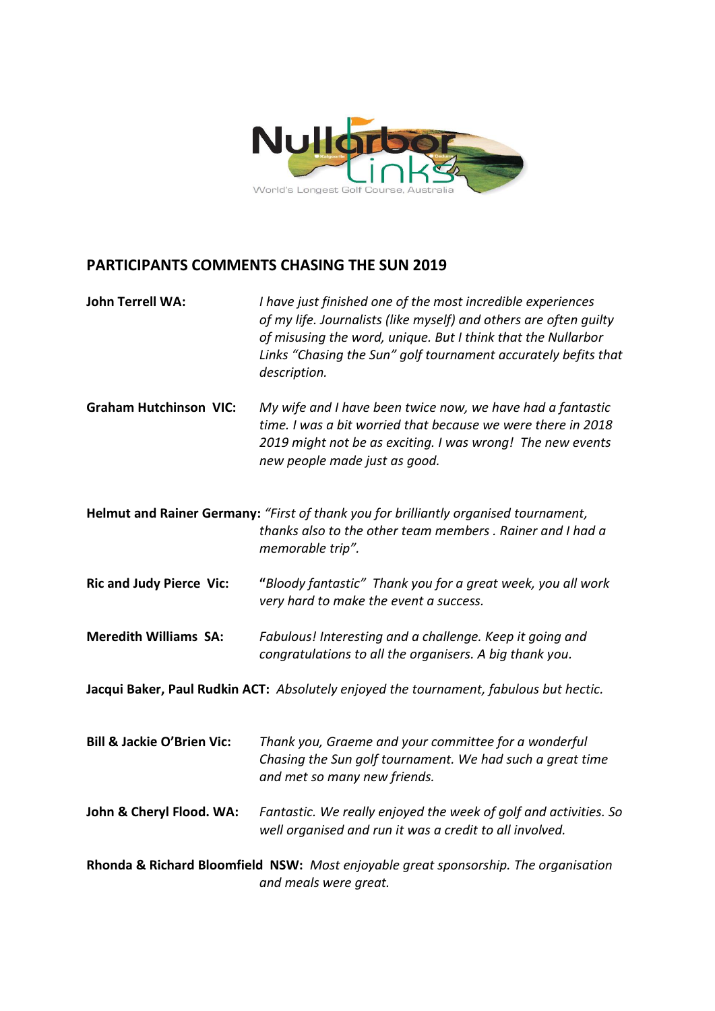

## **PARTICIPANTS COMMENTS CHASING THE SUN 2019**

| <b>John Terrell WA:</b>                                                                                      | I have just finished one of the most incredible experiences<br>of my life. Journalists (like myself) and others are often guilty<br>of misusing the word, unique. But I think that the Nullarbor<br>Links "Chasing the Sun" golf tournament accurately befits that<br>description. |
|--------------------------------------------------------------------------------------------------------------|------------------------------------------------------------------------------------------------------------------------------------------------------------------------------------------------------------------------------------------------------------------------------------|
| <b>Graham Hutchinson VIC:</b>                                                                                | My wife and I have been twice now, we have had a fantastic<br>time. I was a bit worried that because we were there in 2018<br>2019 might not be as exciting. I was wrong! The new events<br>new people made just as good.                                                          |
|                                                                                                              | Helmut and Rainer Germany: "First of thank you for brilliantly organised tournament,<br>thanks also to the other team members. Rainer and I had a<br>memorable trip".                                                                                                              |
| <b>Ric and Judy Pierce Vic:</b>                                                                              | "Bloody fantastic" Thank you for a great week, you all work<br>very hard to make the event a success.                                                                                                                                                                              |
| <b>Meredith Williams SA:</b>                                                                                 | Fabulous! Interesting and a challenge. Keep it going and<br>congratulations to all the organisers. A big thank you.                                                                                                                                                                |
| Jacqui Baker, Paul Rudkin ACT: Absolutely enjoyed the tournament, fabulous but hectic.                       |                                                                                                                                                                                                                                                                                    |
| <b>Bill &amp; Jackie O'Brien Vic:</b>                                                                        | Thank you, Graeme and your committee for a wonderful<br>Chasing the Sun golf tournament. We had such a great time<br>and met so many new friends.                                                                                                                                  |
| John & Cheryl Flood. WA:                                                                                     | Fantastic. We really enjoyed the week of golf and activities. So<br>well organised and run it was a credit to all involved.                                                                                                                                                        |
| Rhonda & Richard Bloomfield NSW: Most enjoyable great sponsorship. The organisation<br>and meals were great. |                                                                                                                                                                                                                                                                                    |